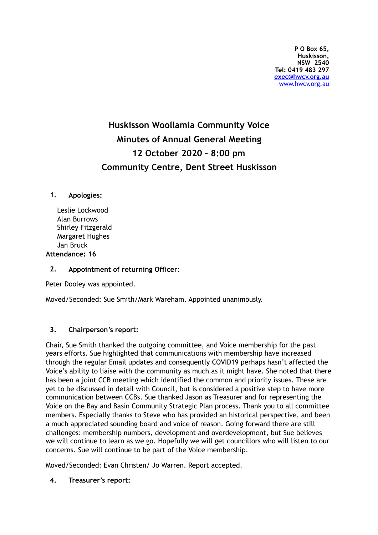# **Huskisson Woollamia Community Voice Minutes of Annual General Meeting 12 October 2020 – 8:00 pm Community Centre, Dent Street Huskisson**

### **1. Apologies:**

Leslie Lockwood Alan Burrows Shirley Fitzgerald Margaret Hughes Jan Bruck **Attendance: 16** 

## **2. Appointment of returning Officer:**

Peter Dooley was appointed.

Moved/Seconded: Sue Smith/Mark Wareham. Appointed unanimously.

#### **3. Chairperson's report:**

Chair, Sue Smith thanked the outgoing committee, and Voice membership for the past years efforts. Sue highlighted that communications with membership have increased through the regular Email updates and consequently COVID19 perhaps hasn't affected the Voice's ability to liaise with the community as much as it might have. She noted that there has been a joint CCB meeting which identified the common and priority issues. These are yet to be discussed in detail with Council, but is considered a positive step to have more communication between CCBs. Sue thanked Jason as Treasurer and for representing the Voice on the Bay and Basin Community Strategic Plan process. Thank you to all committee members. Especially thanks to Steve who has provided an historical perspective, and been a much appreciated sounding board and voice of reason. Going forward there are still challenges: membership numbers, development and overdevelopment, but Sue believes we will continue to learn as we go. Hopefully we will get councillors who will listen to our concerns. Sue will continue to be part of the Voice membership.

Moved/Seconded: Evan Christen/ Jo Warren. Report accepted.

#### **4. Treasurer's report:**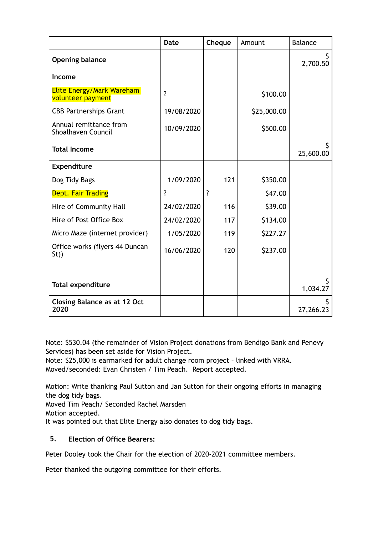|                                                       | <b>Date</b>        | Cheque             | Amount      | <b>Balance</b> |
|-------------------------------------------------------|--------------------|--------------------|-------------|----------------|
| <b>Opening balance</b>                                |                    |                    |             | 2,700.50       |
| Income                                                |                    |                    |             |                |
| <b>Elite Energy/Mark Wareham</b><br>volunteer payment | $\overline{\cdot}$ |                    | \$100.00    |                |
| <b>CBB Partnerships Grant</b>                         | 19/08/2020         |                    | \$25,000.00 |                |
| Annual remittance from<br>Shoalhaven Council          | 10/09/2020         |                    | \$500.00    |                |
| <b>Total Income</b>                                   |                    |                    |             | 25,600.00      |
| Expenditure                                           |                    |                    |             |                |
| Dog Tidy Bags                                         | 1/09/2020          | 121                | \$350.00    |                |
| <b>Dept. Fair Trading</b>                             | ?                  | $\overline{\cdot}$ | \$47.00     |                |
| Hire of Community Hall                                | 24/02/2020         | 116                | \$39.00     |                |
| Hire of Post Office Box                               | 24/02/2020         | 117                | \$134.00    |                |
| Micro Maze (internet provider)                        | 1/05/2020          | 119                | \$227.27    |                |
| Office works (flyers 44 Duncan<br>St)                 | 16/06/2020         | 120                | \$237.00    |                |
|                                                       |                    |                    |             |                |
| <b>Total expenditure</b>                              |                    |                    |             | 1,034.27       |
| <b>Closing Balance as at 12 Oct</b><br>2020           |                    |                    |             | 27,266.23      |

Note: \$530.04 (the remainder of Vision Project donations from Bendigo Bank and Penevy Services) has been set aside for Vision Project.

Note: \$25,000 is earmarked for adult change room project – linked with VRRA. Moved/seconded: Evan Christen / Tim Peach. Report accepted.

Motion: Write thanking Paul Sutton and Jan Sutton for their ongoing efforts in managing the dog tidy bags.

Moved Tim Peach/ Seconded Rachel Marsden

Motion accepted.

It was pointed out that Elite Energy also donates to dog tidy bags.

## **5. Election of Office Bearers:**

Peter Dooley took the Chair for the election of 2020-2021 committee members.

Peter thanked the outgoing committee for their efforts.